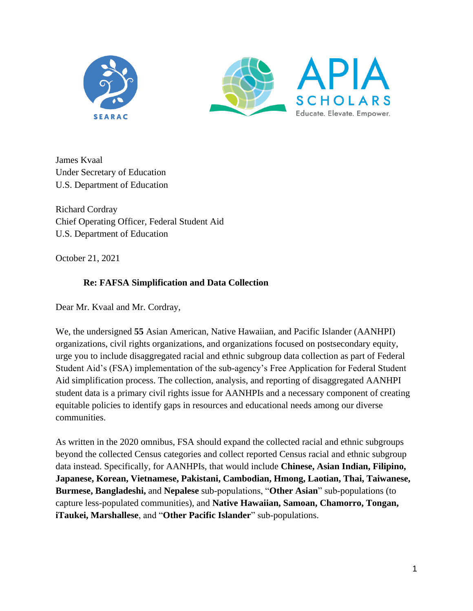



James Kvaal Under Secretary of Education U.S. Department of Education

Richard Cordray Chief Operating Officer, Federal Student Aid U.S. Department of Education

October 21, 2021

## **Re: FAFSA Simplification and Data Collection**

Dear Mr. Kvaal and Mr. Cordray,

We, the undersigned **55** Asian American, Native Hawaiian, and Pacific Islander (AANHPI) organizations, civil rights organizations, and organizations focused on postsecondary equity, urge you to include disaggregated racial and ethnic subgroup data collection as part of Federal Student Aid's (FSA) implementation of the sub-agency's Free Application for Federal Student Aid simplification process. The collection, analysis, and reporting of disaggregated AANHPI student data is a primary civil rights issue for AANHPIs and a necessary component of creating equitable policies to identify gaps in resources and educational needs among our diverse communities.

As written in the 2020 omnibus, FSA should expand the collected racial and ethnic subgroups beyond the collected Census categories and collect reported Census racial and ethnic subgroup data instead. Specifically, for AANHPIs, that would include **Chinese, Asian Indian, Filipino, Japanese, Korean, Vietnamese, Pakistani, Cambodian, Hmong, Laotian, Thai, Taiwanese, Burmese, Bangladeshi,** and **Nepalese** sub-populations, "**Other Asian**" sub-populations (to capture less-populated communities), and **Native Hawaiian, Samoan, Chamorro, Tongan, iTaukei, Marshallese**, and "**Other Pacific Islander**" sub-populations.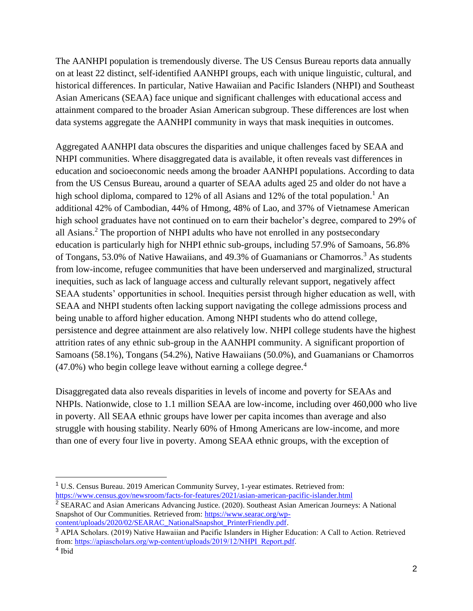The AANHPI population is tremendously diverse. The US Census Bureau reports data annually on at least 22 distinct, self-identified AANHPI groups, each with unique linguistic, cultural, and historical differences. In particular, Native Hawaiian and Pacific Islanders (NHPI) and Southeast Asian Americans (SEAA) face unique and significant challenges with educational access and attainment compared to the broader Asian American subgroup. These differences are lost when data systems aggregate the AANHPI community in ways that mask inequities in outcomes.

Aggregated AANHPI data obscures the disparities and unique challenges faced by SEAA and NHPI communities. Where disaggregated data is available, it often reveals vast differences in education and socioeconomic needs among the broader AANHPI populations. According to data from the US Census Bureau, around a quarter of SEAA adults aged 25 and older do not have a high school diploma, compared to 12% of all Asians and 12% of the total population.<sup>1</sup> An additional 42% of Cambodian, 44% of Hmong, 48% of Lao, and 37% of Vietnamese American high school graduates have not continued on to earn their bachelor's degree, compared to 29% of all Asians.<sup>2</sup> The proportion of NHPI adults who have not enrolled in any postsecondary education is particularly high for NHPI ethnic sub-groups, including 57.9% of Samoans, 56.8% of Tongans, 53.0% of Native Hawaiians, and 49.3% of Guamanians or Chamorros.<sup>3</sup> As students from low-income, refugee communities that have been underserved and marginalized, structural inequities, such as lack of language access and culturally relevant support, negatively affect SEAA students' opportunities in school. Inequities persist through higher education as well, with SEAA and NHPI students often lacking support navigating the college admissions process and being unable to afford higher education. Among NHPI students who do attend college, persistence and degree attainment are also relatively low. NHPI college students have the highest attrition rates of any ethnic sub-group in the AANHPI community. A significant proportion of Samoans (58.1%), Tongans (54.2%), Native Hawaiians (50.0%), and Guamanians or Chamorros  $(47.0\%)$  who begin college leave without earning a college degree.<sup>4</sup>

Disaggregated data also reveals disparities in levels of income and poverty for SEAAs and NHPIs. Nationwide, close to 1.1 million SEAA are low-income, including over 460,000 who live in poverty. All SEAA ethnic groups have lower per capita incomes than average and also struggle with housing stability. Nearly 60% of Hmong Americans are low-income, and more than one of every four live in poverty. Among SEAA ethnic groups, with the exception of

<https://www.census.gov/newsroom/facts-for-features/2021/asian-american-pacific-islander.html> <sup>2</sup> SEARAC and Asian Americans Advancing Justice. (2020). Southeast Asian American Journeys: A National Snapshot of Our Communities. Retrieved from: [https://www.searac.org/wp](https://www.searac.org/wp-content/uploads/2020/02/SEARAC_NationalSnapshot_PrinterFriendly.pdf)[content/uploads/2020/02/SEARAC\\_NationalSnapshot\\_PrinterFriendly.pdf.](https://www.searac.org/wp-content/uploads/2020/02/SEARAC_NationalSnapshot_PrinterFriendly.pdf)

<sup>1</sup> U.S. Census Bureau. 2019 American Community Survey, 1-year estimates. Retrieved from:

<sup>3</sup> APIA Scholars. (2019) Native Hawaiian and Pacific Islanders in Higher Education: A Call to Action. Retrieved from[: https://apiascholars.org/wp-content/uploads/2019/12/NHPI\\_Report.pdf.](https://apiascholars.org/wp-content/uploads/2019/12/NHPI_Report.pdf) 4 Ibid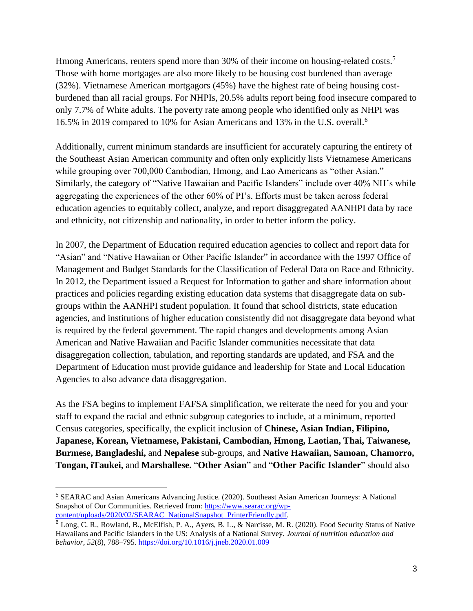Hmong Americans, renters spend more than 30% of their income on housing-related costs.<sup>5</sup> Those with home mortgages are also more likely to be housing cost burdened than average (32%). Vietnamese American mortgagors (45%) have the highest rate of being housing costburdened than all racial groups. For NHPIs, 20.5% adults report being food insecure compared to only 7.7% of White adults. The poverty rate among people who identified only as NHPI was 16.5% in 2019 compared to 10% for Asian Americans and 13% in the U.S. overall.<sup>6</sup>

Additionally, current minimum standards are insufficient for accurately capturing the entirety of the Southeast Asian American community and often only explicitly lists Vietnamese Americans while grouping over 700,000 Cambodian, Hmong, and Lao Americans as "other Asian." Similarly, the category of "Native Hawaiian and Pacific Islanders" include over 40% NH's while aggregating the experiences of the other 60% of PI's. Efforts must be taken across federal education agencies to equitably collect, analyze, and report disaggregated AANHPI data by race and ethnicity, not citizenship and nationality, in order to better inform the policy.

In 2007, the Department of Education required education agencies to collect and report data for "Asian" and "Native Hawaiian or Other Pacific Islander" in accordance with the 1997 Office of Management and Budget Standards for the Classification of Federal Data on Race and Ethnicity. In 2012, the Department issued a Request for Information to gather and share information about practices and policies regarding existing education data systems that disaggregate data on subgroups within the AANHPI student population. It found that school districts, state education agencies, and institutions of higher education consistently did not disaggregate data beyond what is required by the federal government. The rapid changes and developments among Asian American and Native Hawaiian and Pacific Islander communities necessitate that data disaggregation collection, tabulation, and reporting standards are updated, and FSA and the Department of Education must provide guidance and leadership for State and Local Education Agencies to also advance data disaggregation.

As the FSA begins to implement FAFSA simplification, we reiterate the need for you and your staff to expand the racial and ethnic subgroup categories to include, at a minimum, reported Census categories, specifically, the explicit inclusion of **Chinese, Asian Indian, Filipino, Japanese, Korean, Vietnamese, Pakistani, Cambodian, Hmong, Laotian, Thai, Taiwanese, Burmese, Bangladeshi,** and **Nepalese** sub-groups, and **Native Hawaiian, Samoan, Chamorro, Tongan, iTaukei,** and **Marshallese.** "**Other Asian**" and "**Other Pacific Islander**" should also

<sup>5</sup> SEARAC and Asian Americans Advancing Justice. (2020). Southeast Asian American Journeys: A National Snapshot of Our Communities. Retrieved from: [https://www.searac.org/wp](https://www.searac.org/wp-content/uploads/2020/02/SEARAC_NationalSnapshot_PrinterFriendly.pdf)[content/uploads/2020/02/SEARAC\\_NationalSnapshot\\_PrinterFriendly.pdf.](https://www.searac.org/wp-content/uploads/2020/02/SEARAC_NationalSnapshot_PrinterFriendly.pdf)

<sup>6</sup> Long, C. R., Rowland, B., McElfish, P. A., Ayers, B. L., & Narcisse, M. R. (2020). Food Security Status of Native Hawaiians and Pacific Islanders in the US: Analysis of a National Survey. *Journal of nutrition education and behavior*, *52*(8), 788–795.<https://doi.org/10.1016/j.jneb.2020.01.009>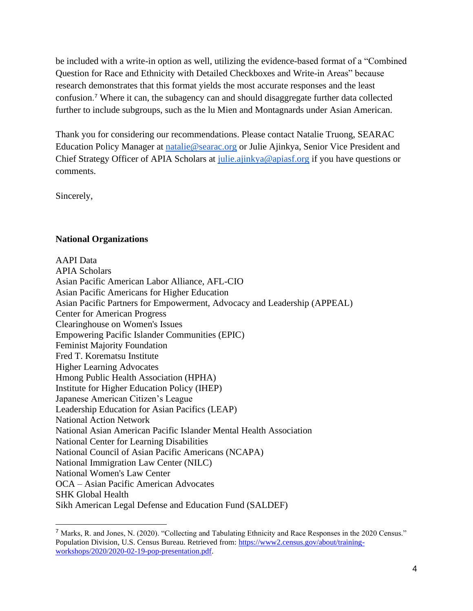be included with a write-in option as well, utilizing the evidence-based format of a "Combined Question for Race and Ethnicity with Detailed Checkboxes and Write-in Areas" because research demonstrates that this format yields the most accurate responses and the least confusion. <sup>7</sup> Where it can, the subagency can and should disaggregate further data collected further to include subgroups, such as the lu Mien and Montagnards under Asian American.

Thank you for considering our recommendations. Please contact Natalie Truong, SEARAC Education Policy Manager at [natalie@searac.org](mailto:natalie@searac.org) or Julie Ajinkya, Senior Vice President and Chief Strategy Officer of APIA Scholars at [julie.ajinkya@apiasf.org](mailto:julie.ajinkya@apiasf.org) if you have questions or comments.

Sincerely,

## **National Organizations**

AAPI Data APIA Scholars Asian Pacific American Labor Alliance, AFL-CIO Asian Pacific Americans for Higher Education Asian Pacific Partners for Empowerment, Advocacy and Leadership (APPEAL) Center for American Progress Clearinghouse on Women's Issues Empowering Pacific Islander Communities (EPIC) Feminist Majority Foundation Fred T. Korematsu Institute Higher Learning Advocates Hmong Public Health Association (HPHA) Institute for Higher Education Policy (IHEP) Japanese American Citizen's League Leadership Education for Asian Pacifics (LEAP) National Action Network National Asian American Pacific Islander Mental Health Association National Center for Learning Disabilities National Council of Asian Pacific Americans (NCAPA) National Immigration Law Center (NILC) National Women's Law Center OCA – Asian Pacific American Advocates SHK Global Health Sikh American Legal Defense and Education Fund (SALDEF)

<sup>7</sup> Marks, R. and Jones, N. (2020). "Collecting and Tabulating Ethnicity and Race Responses in the 2020 Census." Population Division, U.S. Census Bureau. Retrieved from: [https://www2.census.gov/about/training](https://www2.census.gov/about/training-workshops/2020/2020-02-19-pop-presentation.pdf)[workshops/2020/2020-02-19-pop-presentation.pdf.](https://www2.census.gov/about/training-workshops/2020/2020-02-19-pop-presentation.pdf)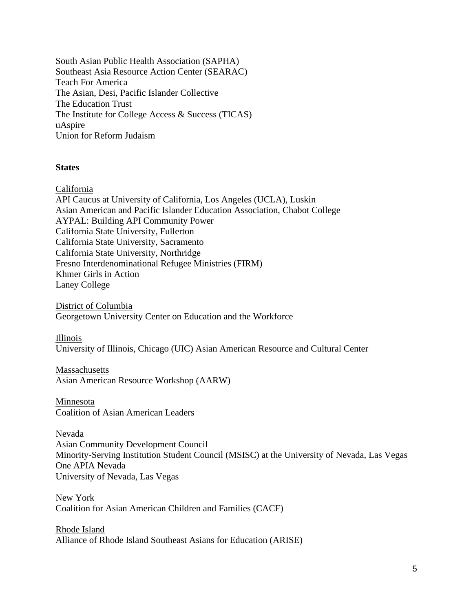South Asian Public Health Association (SAPHA) Southeast Asia Resource Action Center (SEARAC) Teach For America The Asian, Desi, Pacific Islander Collective The Education Trust The Institute for College Access & Success (TICAS) uAspire Union for Reform Judaism

## **States**

California

API Caucus at University of California, Los Angeles (UCLA), Luskin Asian American and Pacific Islander Education Association, Chabot College AYPAL: Building API Community Power California State University, Fullerton California State University, Sacramento California State University, Northridge Fresno Interdenominational Refugee Ministries (FIRM) Khmer Girls in Action Laney College

District of Columbia Georgetown University Center on Education and the Workforce

Illinois

University of Illinois, Chicago (UIC) Asian American Resource and Cultural Center

Massachusetts Asian American Resource Workshop (AARW)

Minnesota Coalition of Asian American Leaders

Nevada

Asian Community Development Council Minority-Serving Institution Student Council (MSISC) at the University of Nevada, Las Vegas One APIA Nevada University of Nevada, Las Vegas

New York Coalition for Asian American Children and Families (CACF)

Rhode Island Alliance of Rhode Island Southeast Asians for Education (ARISE)